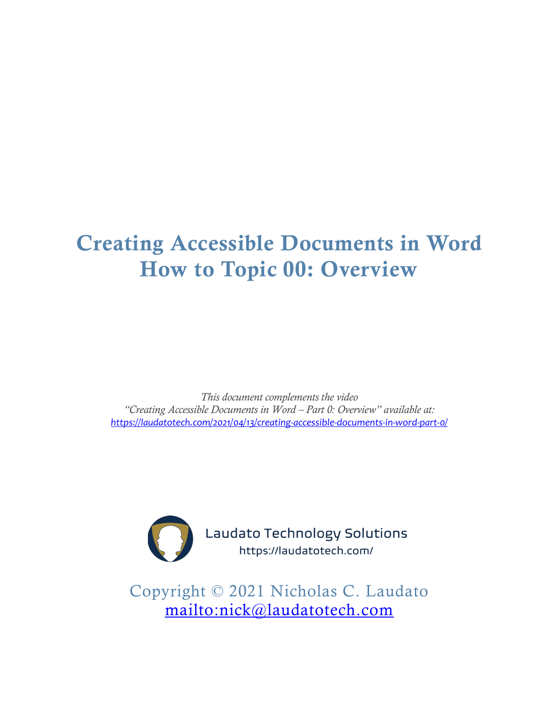# Creating Accessible Documents in Word How to Topic 00: Overview

*This document complements the video "Creating Accessible Documents in Word – Part 0: Overview" available at: <https://laudatotech.com/2021/04/13/creating-accessible-documents-in-word-part-0/>*



Laudato Technology Solutions https://laudatotech.com/

Copyright © 2021 Nicholas C. Laudato <mailto:nick@laudatotech.com>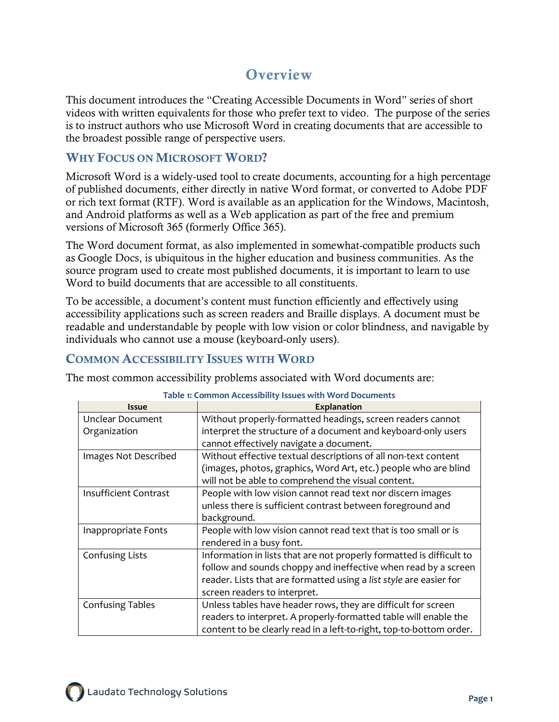## **Overview**

This document introduces the "Creating Accessible Documents in Word" series of short videos with written equivalents for those who prefer text to video. The purpose of the series is to instruct authors who use Microsoft Word in creating documents that are accessible to the broadest possible range of perspective users.

### WHY FOCUS ON MICROSOFT WORD?

Microsoft Word is a widely-used tool to create documents, accounting for a high percentage of published documents, either directly in native Word format, or converted to Adobe PDF or rich text format (RTF). Word is available as an application for the Windows, Macintosh, and Android platforms as well as a Web application as part of the free and premium versions of Microsoft 365 (formerly Office 365).

The Word document format, as also implemented in somewhat-compatible products such as Google Docs, is ubiquitous in the higher education and business communities. As the source program used to create most published documents, it is important to learn to use Word to build documents that are accessible to all constituents.

To be accessible, a document's content must function efficiently and effectively using accessibility applications such as screen readers and Braille displays. A document must be readable and understandable by people with low vision or color blindness, and navigable by individuals who cannot use a mouse (keyboard-only users).

#### COMMON ACCESSIBILITY ISSUES WITH WORD

The most common accessibility problems associated with Word documents are:

| Table 1: Common Accessibility Issues with Word Documents |                                                                      |
|----------------------------------------------------------|----------------------------------------------------------------------|
| <b>Issue</b>                                             | <b>Explanation</b>                                                   |
| Unclear Document                                         | Without properly-formatted headings, screen readers cannot           |
| Organization                                             | interpret the structure of a document and keyboard-only users        |
|                                                          | cannot effectively navigate a document.                              |
| Images Not Described                                     | Without effective textual descriptions of all non-text content       |
|                                                          | (images, photos, graphics, Word Art, etc.) people who are blind      |
|                                                          | will not be able to comprehend the visual content.                   |
| Insufficient Contrast                                    | People with low vision cannot read text nor discern images           |
|                                                          | unless there is sufficient contrast between foreground and           |
|                                                          | background.                                                          |
| Inappropriate Fonts                                      | People with low vision cannot read text that is too small or is      |
|                                                          | rendered in a busy font.                                             |
| Confusing Lists                                          | Information in lists that are not properly formatted is difficult to |
|                                                          | follow and sounds choppy and ineffective when read by a screen       |
|                                                          | reader. Lists that are formatted using a list style are easier for   |
|                                                          | screen readers to interpret.                                         |
| <b>Confusing Tables</b>                                  | Unless tables have header rows, they are difficult for screen        |
|                                                          | readers to interpret. A properly-formatted table will enable the     |
|                                                          | content to be clearly read in a left-to-right, top-to-bottom order.  |

#### **Table 1: Common Accessibility Issues with Word Documents**